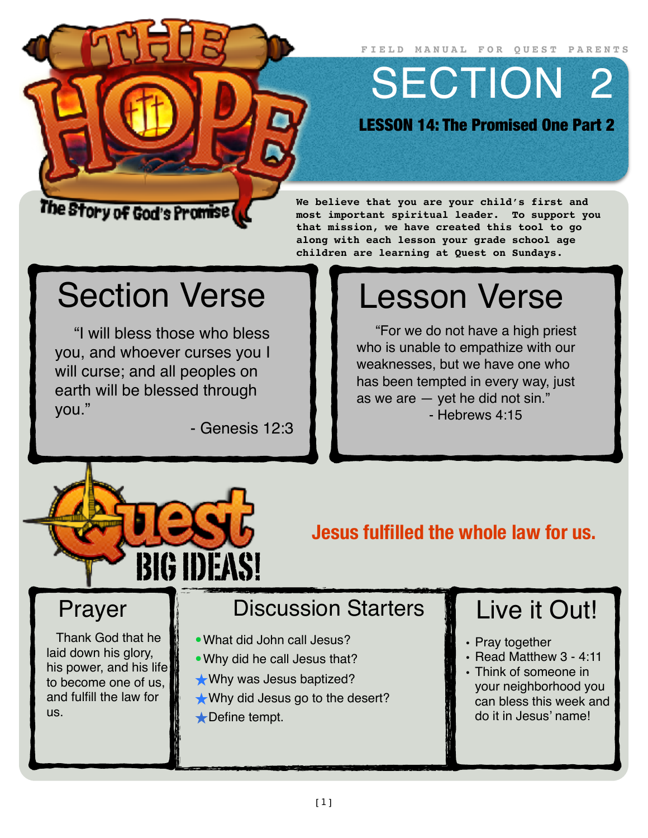**FIELD MANUAL FOR QUEST PARENTS**

SECTION 2

LESSON 14: The Promised One Part 2

#### The Story of God's Promise

**We believe that you are your child's first and most important spiritual leader. To support you that mission, we have created this tool to go along with each lesson your grade school age children are learning at Quest on Sundays.**

## Section Verse

"I will bless those who bless you, and whoever curses you I will curse; and all peoples on earth will be blessed through you."

- Genesis 12:3

# Lesson Verse

"For we do not have a high priest who is unable to empathize with our weaknesses, but we have one who has been tempted in every way, just as we are — yet he did not sin." - Hebrews 4:15



**Jesus fulfilled the whole law for us.**

#### Prayer

Thank God that he laid down his glory, his power, and his life to become one of us, and fulfill the law for us.

#### Discussion Starters

- •What did John call Jesus?
- •Why did he call Jesus that?
- ★Why was Jesus baptized?
- ★Why did Jesus go to the desert?
- ★Define tempt.

### Live it Out!

- Pray together
- Read Matthew 3 4:11
- Think of someone in your neighborhood you can bless this week and do it in Jesus' name!